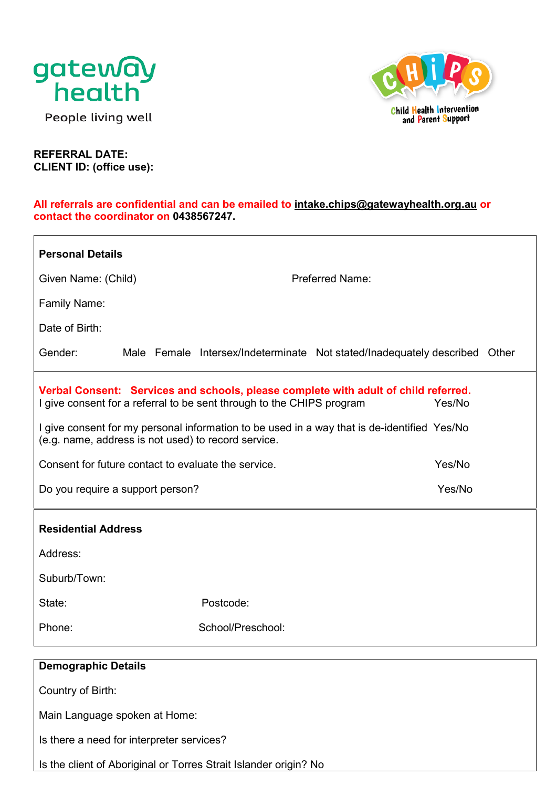

People living well



**REFERRAL DATE: CLIENT ID: (office use):** 

#### **All referrals are confidential and can be emailed to [intake.chips@gatewayhealth.org.au](mailto:intake.chips@gatewayhealth.org.au) or contact the coordinator on 0438567247.**

| <b>Personal Details</b>                            |                                                                       |                                                                                               |  |  |
|----------------------------------------------------|-----------------------------------------------------------------------|-----------------------------------------------------------------------------------------------|--|--|
| Given Name: (Child)                                |                                                                       | <b>Preferred Name:</b>                                                                        |  |  |
| <b>Family Name:</b>                                |                                                                       |                                                                                               |  |  |
| Date of Birth:                                     |                                                                       |                                                                                               |  |  |
| Gender:                                            |                                                                       | Male Female Intersex/Indeterminate Not stated/Inadequately described Other                    |  |  |
|                                                    | I give consent for a referral to be sent through to the CHIPS program | Verbal Consent: Services and schools, please complete with adult of child referred.<br>Yes/No |  |  |
|                                                    | (e.g. name, address is not used) to record service.                   | I give consent for my personal information to be used in a way that is de-identified Yes/No   |  |  |
|                                                    | Consent for future contact to evaluate the service.                   | Yes/No                                                                                        |  |  |
|                                                    | Yes/No<br>Do you require a support person?                            |                                                                                               |  |  |
|                                                    |                                                                       |                                                                                               |  |  |
| <b>Residential Address</b>                         |                                                                       |                                                                                               |  |  |
| Address:                                           |                                                                       |                                                                                               |  |  |
| Suburb/Town:                                       |                                                                       |                                                                                               |  |  |
| State:                                             | Postcode:                                                             |                                                                                               |  |  |
| Phone:                                             | School/Preschool:                                                     |                                                                                               |  |  |
|                                                    |                                                                       |                                                                                               |  |  |
| <b>Demographic Details</b>                         |                                                                       |                                                                                               |  |  |
| Country of Birth:<br>Main Language spoken at Home: |                                                                       |                                                                                               |  |  |
| Is there a need for interpreter services?          |                                                                       |                                                                                               |  |  |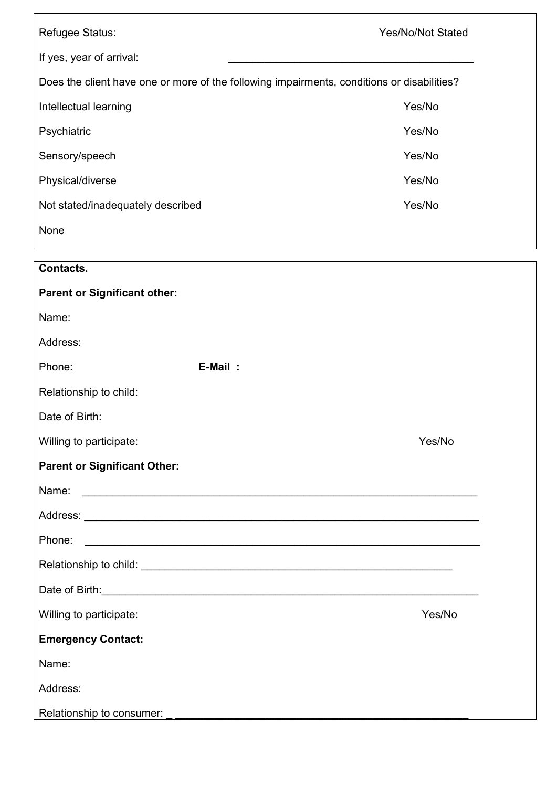| Refugee Status:                                                                                 | <b>Yes/No/Not Stated</b> |  |  |  |
|-------------------------------------------------------------------------------------------------|--------------------------|--|--|--|
| If yes, year of arrival:                                                                        |                          |  |  |  |
| Does the client have one or more of the following impairments, conditions or disabilities?      |                          |  |  |  |
| Yes/No<br>Intellectual learning                                                                 |                          |  |  |  |
| Psychiatric                                                                                     | Yes/No                   |  |  |  |
| Sensory/speech                                                                                  | Yes/No                   |  |  |  |
| Physical/diverse                                                                                | Yes/No                   |  |  |  |
| Not stated/inadequately described                                                               | Yes/No                   |  |  |  |
| None                                                                                            |                          |  |  |  |
| Contacts.                                                                                       |                          |  |  |  |
| <b>Parent or Significant other:</b>                                                             |                          |  |  |  |
| Name:                                                                                           |                          |  |  |  |
| Address:                                                                                        |                          |  |  |  |
| E-Mail:<br>Phone:                                                                               |                          |  |  |  |
| Relationship to child:                                                                          |                          |  |  |  |
| Date of Birth:                                                                                  |                          |  |  |  |
| Willing to participate:                                                                         | Yes/No                   |  |  |  |
| <b>Parent or Significant Other:</b>                                                             |                          |  |  |  |
|                                                                                                 |                          |  |  |  |
|                                                                                                 |                          |  |  |  |
| Phone:                                                                                          |                          |  |  |  |
|                                                                                                 |                          |  |  |  |
| Date of Birth: <u>Communications and the set of Birth: Communications and the set of Birth:</u> |                          |  |  |  |
| Willing to participate:                                                                         | Yes/No                   |  |  |  |
| <b>Emergency Contact:</b>                                                                       |                          |  |  |  |
| Name:                                                                                           |                          |  |  |  |
| Address:                                                                                        |                          |  |  |  |
| Relationship to consumer:                                                                       |                          |  |  |  |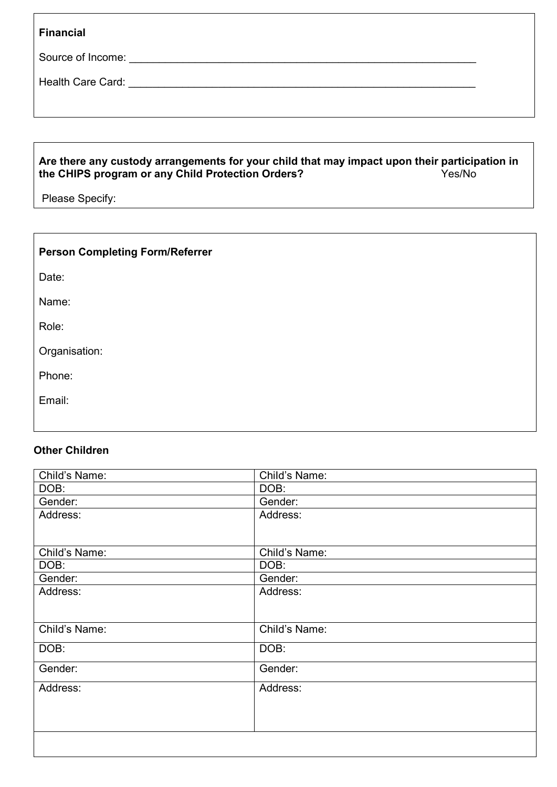| <b>Financial</b> |  |
|------------------|--|
|                  |  |

Source of Income: \_\_\_\_\_\_\_\_\_\_\_\_\_\_\_\_\_\_\_\_\_\_\_\_\_\_\_\_\_\_\_\_\_\_\_\_\_\_\_\_\_\_\_\_\_\_\_\_\_\_\_\_\_\_\_\_\_\_

Health Care Card: \_\_\_\_\_\_\_\_\_\_\_\_\_\_\_\_\_\_\_\_\_\_\_\_\_\_\_\_\_\_\_\_\_\_\_\_\_\_\_\_\_\_\_\_\_\_\_\_\_\_\_\_\_\_\_\_\_\_

### **Are there any custody arrangements for your child that may impact upon their participation in the CHIPS program or any Child Protection Orders?** Yes/No

Please Specify:

| <b>Person Completing Form/Referrer</b> |  |
|----------------------------------------|--|
| Date:                                  |  |
| Name:                                  |  |
| Role:                                  |  |
| Organisation:                          |  |
| Phone:                                 |  |
| Email:                                 |  |
|                                        |  |

## **Other Children**

| Child's Name: | Child's Name: |
|---------------|---------------|
| DOB:          | DOB:          |
| Gender:       | Gender:       |
| Address:      | Address:      |
|               |               |
| Child's Name: | Child's Name: |
| DOB:          | DOB:          |
| Gender:       | Gender:       |
| Address:      | Address:      |
|               |               |
| Child's Name: | Child's Name: |
| DOB:          | DOB:          |
| Gender:       | Gender:       |
| Address:      | Address:      |
|               |               |
|               |               |
|               |               |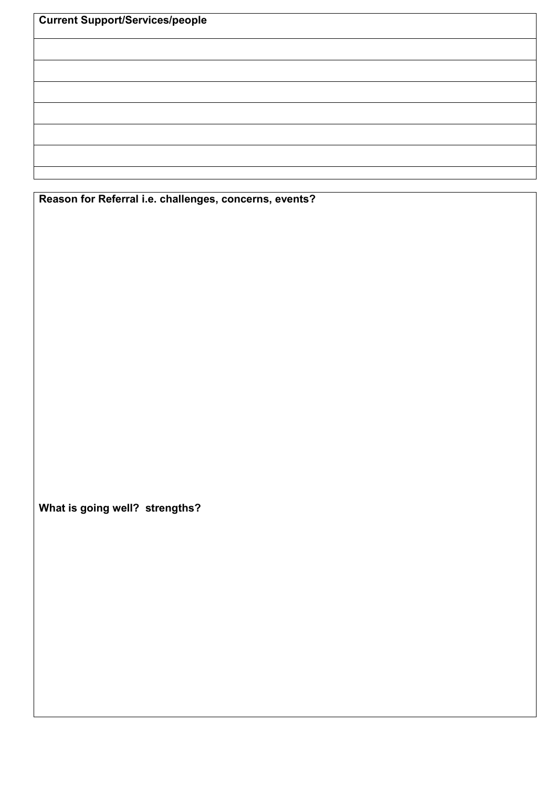| <b>Current Support/Services/people</b> |  |  |
|----------------------------------------|--|--|
|                                        |  |  |
|                                        |  |  |
|                                        |  |  |
|                                        |  |  |
|                                        |  |  |
|                                        |  |  |
|                                        |  |  |
|                                        |  |  |

**Reason for Referral i.e. challenges, concerns, events?** 

**What is going well? strengths?**